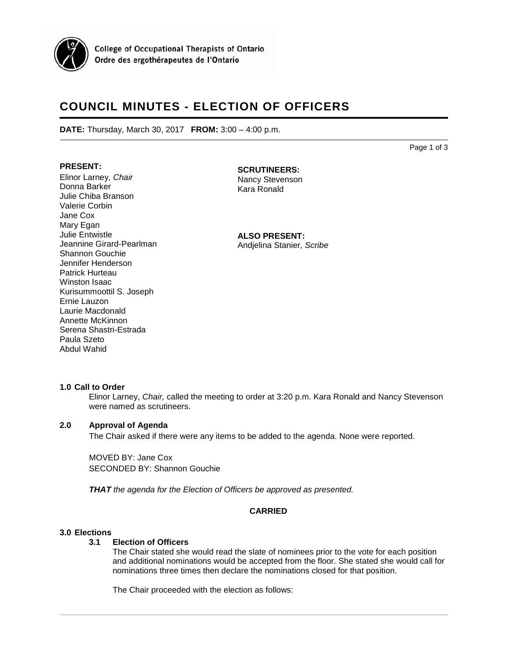

**College of Occupational Therapists of Ontario** Ordre des ergothérapeutes de l'Ontario

# **COUNCIL MINUTES - ELECTION OF OFFICERS**

**DATE:** Thursday, March 30, 2017 **FROM:** 3:00 – 4:00 p.m.

Page 1 of 3

# **PRESENT:**

Elinor Larney, *Chair* Donna Barker Julie Chiba Branson Valerie Corbin Jane Cox Mary Egan Julie Entwistle Jeannine Girard-Pearlman Shannon Gouchie Jennifer Henderson Patrick Hurteau Winston Isaac Kurisummoottil S. Joseph Ernie Lauzon Laurie Macdonald Annette McKinnon Serena Shastri-Estrada Paula Szeto Abdul Wahid

# **SCRUTINEERS:**

Nancy Stevenson Kara Ronald

**ALSO PRESENT:** Andjelina Stanier, *Scribe*

# **1.0 Call to Order**

Elinor Larney, *Chair,* called the meeting to order at 3:20 p.m. Kara Ronald and Nancy Stevenson were named as scrutineers.

# **2.0 Approval of Agenda**

The Chair asked if there were any items to be added to the agenda. None were reported.

MOVED BY: Jane Cox SECONDED BY: Shannon Gouchie

*THAT the agenda for the Election of Officers be approved as presented.* 

# **CARRIED**

# **3.0 Elections**

#### **3.1 Election of Officers**

The Chair stated she would read the slate of nominees prior to the vote for each position and additional nominations would be accepted from the floor. She stated she would call for nominations three times then declare the nominations closed for that position.

The Chair proceeded with the election as follows: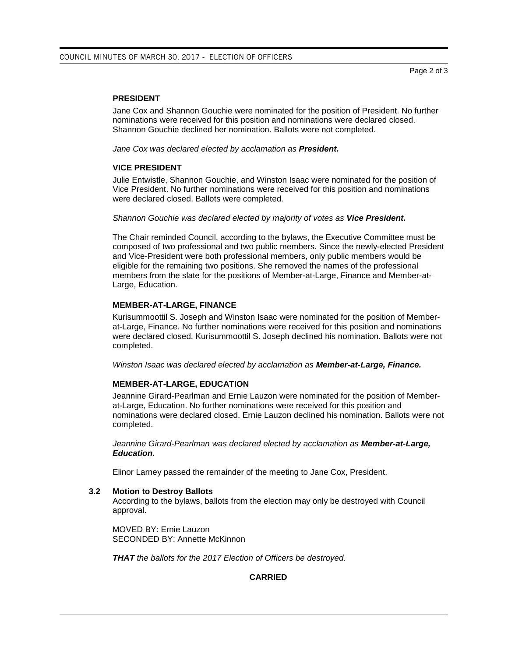#### **PRESIDENT**

Jane Cox and Shannon Gouchie were nominated for the position of President. No further nominations were received for this position and nominations were declared closed. Shannon Gouchie declined her nomination. Ballots were not completed.

*Jane Cox was declared elected by acclamation as President.*

#### **VICE PRESIDENT**

Julie Entwistle, Shannon Gouchie, and Winston Isaac were nominated for the position of Vice President. No further nominations were received for this position and nominations were declared closed. Ballots were completed.

#### *Shannon Gouchie was declared elected by majority of votes as Vice President.*

The Chair reminded Council, according to the bylaws, the Executive Committee must be composed of two professional and two public members. Since the newly-elected President and Vice-President were both professional members, only public members would be eligible for the remaining two positions. She removed the names of the professional members from the slate for the positions of Member-at-Large, Finance and Member-at-Large, Education.

# **MEMBER-AT-LARGE, FINANCE**

Kurisummoottil S. Joseph and Winston Isaac were nominated for the position of Memberat-Large, Finance. No further nominations were received for this position and nominations were declared closed. Kurisummoottil S. Joseph declined his nomination. Ballots were not completed.

*Winston Isaac was declared elected by acclamation as Member-at-Large, Finance.*

# **MEMBER-AT-LARGE, EDUCATION**

Jeannine Girard-Pearlman and Ernie Lauzon were nominated for the position of Memberat-Large, Education. No further nominations were received for this position and nominations were declared closed. Ernie Lauzon declined his nomination. Ballots were not completed.

*Jeannine Girard-Pearlman was declared elected by acclamation as Member-at-Large, Education.* 

Elinor Larney passed the remainder of the meeting to Jane Cox, President.

# **3.2 Motion to Destroy Ballots**

According to the bylaws, ballots from the election may only be destroyed with Council approval.

MOVED BY: Ernie Lauzon SECONDED BY: Annette McKinnon

*THAT the ballots for the 2017 Election of Officers be destroyed.*

**CARRIED**